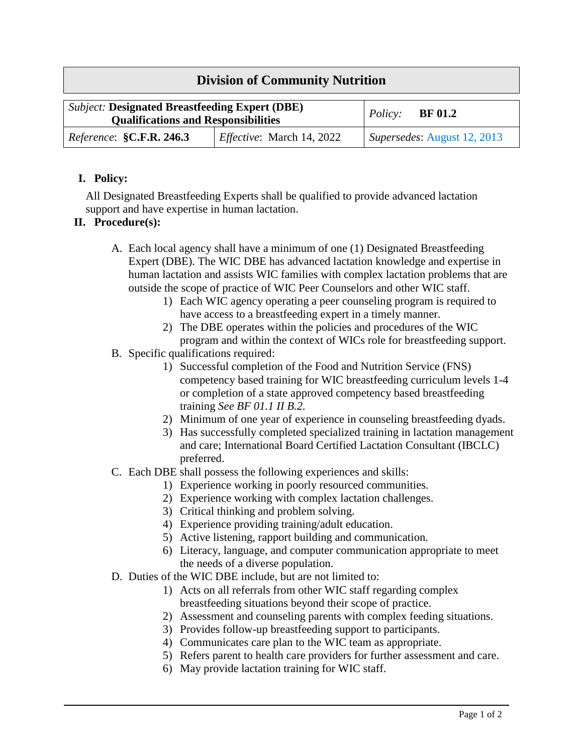## **Division of Community Nutrition**

| <b>Subject: Designated Breastfeeding Expert (DBE)</b><br><b>Qualifications and Responsibilities</b> |                                  | Policy: $BF 01.2$           |
|-----------------------------------------------------------------------------------------------------|----------------------------------|-----------------------------|
| <i>Reference</i> : <b>§C.F.R. 246.3</b>                                                             | <i>Effective:</i> March 14, 2022 | Supersedes: August 12, 2013 |

## **I. Policy:**

All Designated Breastfeeding Experts shall be qualified to provide advanced lactation support and have expertise in human lactation.

## **II. Procedure(s):**

- A. Each local agency shall have a minimum of one (1) Designated Breastfeeding Expert (DBE). The WIC DBE has advanced lactation knowledge and expertise in human lactation and assists WIC families with complex lactation problems that are outside the scope of practice of WIC Peer Counselors and other WIC staff.
	- 1) Each WIC agency operating a peer counseling program is required to have access to a breastfeeding expert in a timely manner.
	- 2) The DBE operates within the policies and procedures of the WIC program and within the context of WICs role for breastfeeding support.
- B. Specific qualifications required:
	- 1) Successful completion of the Food and Nutrition Service (FNS) competency based training for WIC breastfeeding curriculum levels 1-4 or completion of a state approved competency based breastfeeding training *See BF 01.1 II B.2.*
	- 2) Minimum of one year of experience in counseling breastfeeding dyads.
	- 3) Has successfully completed specialized training in lactation management and care; International Board Certified Lactation Consultant (IBCLC) preferred.
- C. Each DBE shall possess the following experiences and skills:
	- 1) Experience working in poorly resourced communities.
	- 2) Experience working with complex lactation challenges.
	- 3) Critical thinking and problem solving.
	- 4) Experience providing training/adult education.
	- 5) Active listening, rapport building and communication.
	- 6) Literacy, language, and computer communication appropriate to meet the needs of a diverse population.
- D. Duties of the WIC DBE include, but are not limited to:
	- 1) Acts on all referrals from other WIC staff regarding complex breastfeeding situations beyond their scope of practice.
	- 2) Assessment and counseling parents with complex feeding situations.
	- 3) Provides follow-up breastfeeding support to participants.
	- 4) Communicates care plan to the WIC team as appropriate.
	- 5) Refers parent to health care providers for further assessment and care.
	- 6) May provide lactation training for WIC staff.